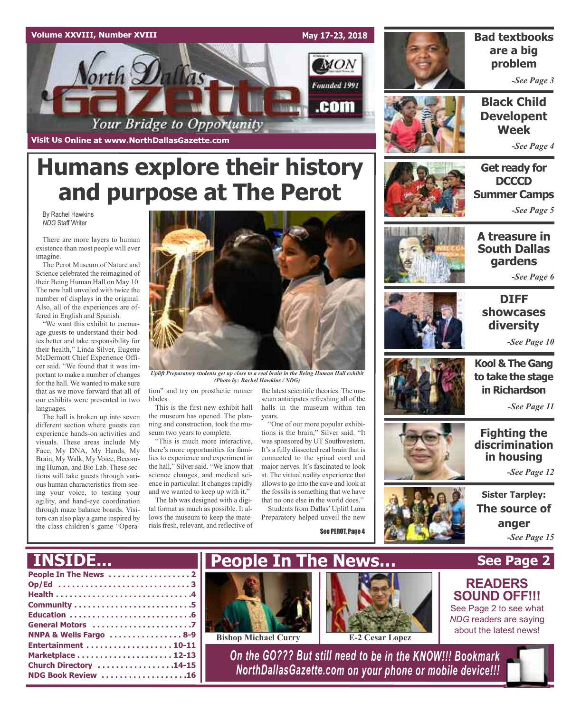



## **Bad textbooks are a big problem**

*-See Page 3*

**Black Child Developent Week**

*-See Page 4*

## **Get ready for DCCCD Summer Camps** *-See Page 5*

**A treasure in South Dallas gardens**

*-See Page 6*



## **DIFF showcases diversity**

*-See Page 10*



**Kool & The Gang to take the stage in Richardson**

*-See Page 11*

## **Fighting the discrimination in housing**

*-See Page 12*

**Sister Tarpley: The source of anger** *-See Page 15*

# **See Page 2**

## **READERS SOUND OFF!!!**

See Page 2 to see what *NDG* readers are saying about the latest news!

**Humans explore their history and purpose at The Perot**

**Visit Us Online at www.NorthDallasGazette.com**

By Rachel Hawkins *NDG* Staff Writer

There are more layers to human existence than most people will ever imagine.

The Perot Museum of Nature and Science celebrated the reimagined of their Being Human Hall on May 10. The new hall unveiled with twice the number of displays in the original. Also, all of the experiences are offered in English and Spanish.

"We want this exhibit to encourage guests to understand their bodies better and take responsibility for their health," Linda Silver, Eugene McDermott Chief Experience Officer said. "We found that it was important to make a number of changes for the hall. We wanted to make sure that as we move forward that all of our exhibits were presented in two languages.

The hall is broken up into seven different section where guests can experience hands-on activities and visuals. These areas include My Face, My DNA, My Hands, My Brain, My Walk, My Voice, Becoming Human, and Bio Lab. These sections will take guests through various human characteristics from seeing your voice, to testing your agility, and hand-eye coordination through maze balance boards. Visitors can also play a game inspired by the class children's game "Opera-

**INSIDE...**



*Uplift Preparatory students get up close to a real brain in the Being Human Hall exhibit (Photo by: Rachel Hawkins / NDG)*

tion" and try on prosthetic runner the latest scientific theories. The mublades.

This is the first new exhibit hall the museum has opened. The planning and construction, took the museum two years to complete.

"This is much more interactive, there's more opportunities for families to experience and experiment in the hall," Silver said. "We know that science changes, and medical science in particular. It changes rapidly and we wanted to keep up with it."

The lab was designed with a digital format as much as possible. It allows the museum to keep the materials fresh, relevant, and reflective of

seum anticipates refreshing all of the halls in the museum within ten years.

"One of our more popular exhibitions is the brain," Silver said. "It was sponsored by UT Southwestern. It's a fully dissected real brain that is connected to the spinal cord and major nerves. It's fascinated to look at. The virtual reality experience that allowsto go into the cave and look at the fossils is something that we have that no one else in the world does."

Students from Dallas'Uplift Luna Preparatory helped unveil the new

See PEROT, Page 4







**NDG Book Review . . . . . . . . . . . . . . . . . . .16**



**Bishop Michael Curry E-2 Cesar Lopez**



*On the GO??? But still need to be in the KNOW!!! Bookmark NorthDallasGazette.com on your phone or mobile device!!!*



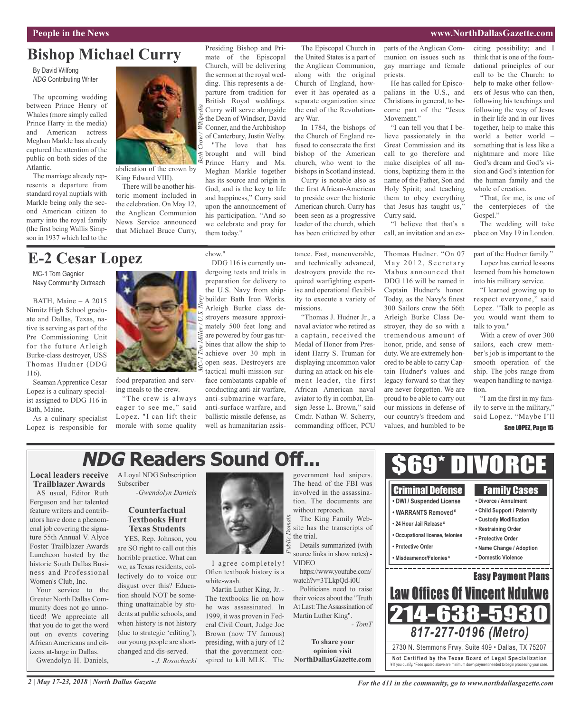## **People in the News www.NorthDallasGazette.com**

## **Bishop Michael Curry**

By David Wilfong *NDG* Contributing Writer

The upcoming wedding between Prince Henry of Whales (more simply called Prince Harry in the media) and American actress Meghan Markle has already captured the attention of the public on both sides of the Atlantic.

The marriage already represents a departure from standard royal nuptials with Markle being only the second American citizen to marry into the royal family (the first being Wallis Simpson in 1937 which led to the



abdication of the crown by King Edward VIII).

There will be another historic moment included in the celebration. On May 12, the Anglican Communion News Service announced that Michael Bruce Curry,

# them today."

*Beth Crow / Wikipedia*

chow."

Curry will serve alongside the Dean of Windsor, David Conner, and the Archbishop of Canterbury, Justin Welby. "The love that has brought and will bind

Presiding Bishop and Primate of the Episcopal Church, will be delivering the sermon at the royal wedding. This represents a departure from tradition for British Royal weddings.

Prince Harry and Ms. Meghan Markle together has its source and origin in God, and is the key to life and happiness," Curry said upon the announcement of his participation. "And so we celebrate and pray for

The Episcopal Church in the United States is a part of the Anglican Communion, along with the original Church of England, however it has operated as a separate organization since the end of the Revolutionary War.

In 1784, the bishops of the Church of England refused to consecrate the first bishop of the American church, who went to the bishops in Scotland instead.

Curry is notable also as the first African-American to preside over the historic American church. Curry has been seen as a progressive leader of the church, which has been criticized by other

parts of the Anglican Communion on issues such as gay marriage and female priests.

He has called for Episcopalians in the U.S., and Christians in general, to become part of the "Jesus Movement."

"I can tell you that I believe passionately in the Great Commission and its call to go therefore and make disciples of all nations, baptizing them in the name of the Father, Son and Holy Spirit; and teaching them to obey everything that Jesus has taught us," Curry said.

"I believe that that's a call, an invitation and an ex-

think that is one of the foundational principles of our call to be the Church: to help to make other followers of Jesus who can then, following his teachings and following the way of Jesus in their life and in our lives together, help to make this world a better world – something that is less like a nightmare and more like God's dream and God's vision and God's intention for the human family and the whole of creation.

citing possibility; and I

"That, for me, is one of the centerpieces of the Gospel."

The wedding will take place on May 19 in London.

# **E-2 Cesar Lopez**

MC-1 Tom Gagnier Navy Community Outreach

BATH, Maine – A 2015 Nimitz High School graduate and Dallas, Texas, native is serving as part of the Pre Commissioning Unit for the future Arleigh Burke-class destroyer, USS Thomas Hudner (DDG 116).

Seaman Apprentice Cesar Lopez is a culinary specialist assigned to DDG 116 in Bath, Maine.

As a culinary specialist Lopez is responsible for



food preparation and serving meals to the crew.

"The crew is always eager to see me," said Lopez. "I can lift their morale with some quality

DDG 116 is currently undergoing tests and trials in preparation for delivery to the U.S. Navy from shipbuilder Bath Iron Works. Arleigh Burke class destroyers measure approxi- $\geq$  mately 500 feet long and are powered by four gas turbines that allow the ship to achieve over 30 mph in open seas. Destroyers are tactical multi-mission surface combatants capable of conducting anti-air warfare, anti-submarine warfare, anti-surface warfare, and ballistic missile defense, as well as humanitarian assistance. Fast, maneuverable, and technically advanced, destroyers provide the required warfighting expertise and operational flexibility to execute a variety of missions.

"Thomas J. Hudner Jr., a naval aviator who retired as a captain, received the Medal of Honor from President Harry S. Truman for displaying uncommon valor during an attack on his element leader, the first African American naval aviator to fly in combat, Ensign Jesse L. Brown," said Cmdr. Nathan W. Scherry, commanding officer, PCU

Thomas Hudner. "On 07 May 2012, Secretary Mabus announced that DDG 116 will be named in Captain Hudner's honor. Today, as the Navy's finest 300 Sailors crew the 66th Arleigh Burke Class Destroyer, they do so with a tremendous amount of honor, pride, and sense of duty. We are extremely honored to be able to carry Captain Hudner's values and legacy forward so that they are never forgotten. We are proud to be able to carry out our missions in defense of our country's freedom and values, and humbled to be

part of the Hudner family."

Lopez has carried lessons learned from his hometown into his military service.

"I learned growing up to respect everyone," said Lopez. "Talk to people as you would want them to talk to you."

With a crew of over 300 sailors, each crew member's job is important to the smooth operation of the ship. The jobs range from weapon handling to navigation.

"I am the first in my family to serve in the military," said Lopez. "Maybe I'll

# **NDG Readers Sound Off...**

## **Local leaders receive Trailblazer Awards**

AS usual, Editor Ruth Ferguson and her talented feature writers and contributors have done a phenomenal job covering the signature 55th Annual V. Alyce Foster Trailblazer Awards Luncheon hosted by the historic South Dallas Business and Professional Women's Club, Inc.

Your service to the Greater North Dallas Community does not go unnoticed! We appreciate all that you do to get the word out on events covering African Americans and citizens at-large in Dallas. Gwendolyn H. Daniels,

A Loyal NDG Subscription Subscriber *-Gwendolyn Daniels*

## **Counterfactual Textbooks Hurt Texas Students**

YES, Rep. Johnson, you are SO right to call out this horrible practice. What can we, as Texas residents, collectively do to voice our disgust over this? Education should NOT be something unattainable by students at public schools, and when history is not history (due to strategic 'editing'), our young people are shortchanged and dis-served. *- J. Rosochacki*



I agree completely! Often textbook history is a white-wash.

Martin Luther King, Jr. - The textbooks lie on how he was assassinated. In 1999, it was proven in Federal Civil Court, Judge Joe Brown (now TV famous) presiding, with a jury of 12 that the government conspired to kill MLK. The

government had snipers. The head of the FBI was involved in the assassination. The documents are without reproach. The King Family Website has the transcripts of

the trial. Details summarized (with *Public Domain*

VIDEO https://www.youtube.com/

watch?v=3TLkpQd-i0U Politicians need to raise their voices about the "Truth At Last: The Assassination of Martin Luther King".

**To share your opinion visit NorthDallasGazette.com**



*For the 411 in the community, go to www.northdallasgazette.com*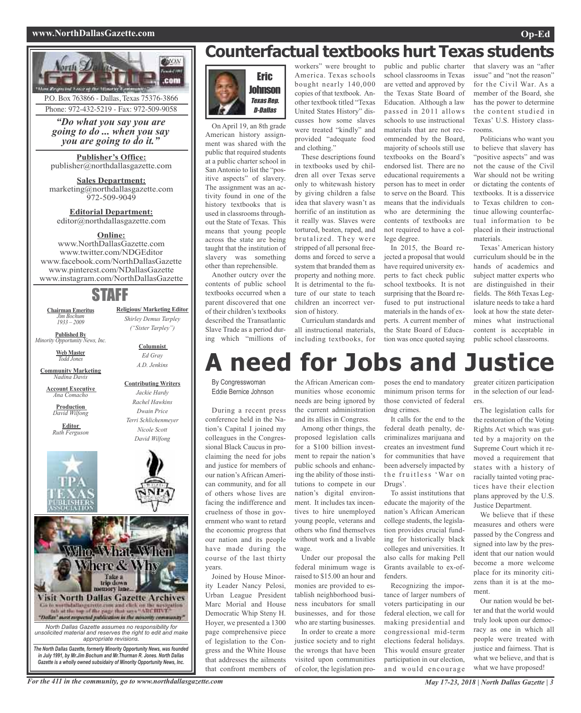## **www.NorthDallasGazette.com Op-Ed**



**Web Master** *Todd Jones*

**Community Marketing** *Nadina Davis*

**Account Executive** *Ana Comacho*

**Production** *David Wilfong*

**Editor** *Ruth Ferguson*



*Ed Gray A.D. Jenkins*

**Contributing Writers**



*Gazette is a wholly owned subsidairy of Minority Opportunity News, Inc.*

# **Counterfactual textbooks hurt Texas students**



On April 19, an 8th grade American history assignment was shared with the public that required students at a public charter school in San Antonio to list the "positive aspects" of slavery. The assignment was an activity found in one of the history textbooks that is used in classrooms throughout the State of Texas. This means that young people across the state are being taught that the institution of slavery was something other than reprehensible.

Another outcry over the contents of public school textbooks occurred when a parent discovered that one of their children's textbooks described the Transatlantic Slave Trade as a period during which "millions of

workers" were brought to America. Texas schools bought nearly 140,000 copies of that textbook. Another textbook titled "Texas United States History" discusses how some slaves were treated "kindly" and provided "adequate food and clothing.'

These descriptions found in textbooks used by children all over Texas serve only to whitewash history by giving children a false idea that slavery wasn't as horrific of an institution as it really was. Slaves were tortured, beaten, raped, and brutalized. They were stripped of all personal freedoms and forced to serve a system that branded them as property and nothing more. It is detrimental to the future of our state to teach children an incorrect version of history.

Curriculum standards and all instructional materials, including textbooks, for

# **A need for Jobs and Justice**

By Congresswoman Eddie Bernice Johnson

During a recent press conference held in the Nation's Capital I joined my colleagues in the Congressional Black Caucus in proclaiming the need for jobs and justice for members of our nation's African American community, and for all of others whose lives are facing the indifference and cruelness of those in government who want to retard the economic progress that our nation and its people have made during the course of the last thirty years.

Joined by House Minority Leader Nancy Pelosi, Urban League President Marc Morial and House Democratic Whip Steny H. Hoyer, we presented a 1300 page comprehensive piece of legislation to the Congress and the White House that addresses the ailments that confront members of the African American communities whose economic needs are being ignored by the current administration and its allies in Congress.

Among other things, the proposed legislation calls for a \$100 billion investment to repair the nation's public schools and enhancing the ability of those institutions to compete in our nation's digital environment. It includes tax incentives to hire unemployed young people, veterans and others who find themselves without work and a livable wage.

Under our proposal the federal minimum wage is raised to \$15.00 an hour and monies are provided to establish neighborhood business incubators for small businesses, and for those who are starting businesses.

In order to create a more justice society and to right the wrongs that have been visited upon communities of color, the legislation propublic and public charter school classrooms in Texas are vetted and approved by the Texas State Board of Education. Although a law passed in 2011 allows schools to use instructional materials that are not recommended by the Board, majority of schools still use textbooks on the Board's endorsed list. There are no educational requirements a person has to meet in order to serve on the Board. This means that the individuals who are determining the contents of textbooks are not required to have a college degree.

In 2015, the Board rejected a proposal that would have required university experts to fact check public school textbooks. It is not surprising that the Board refused to put instructional materials in the hands of experts. A current member of the State Board of Education was once quoted saying that slavery was an "after issue" and "not the reason" for the Civil War. As a member of the Board, she has the power to determine the content studied in Texas' U.S. History classrooms.

Politicians who want you to believe that slavery has "positive aspects" and was not the cause of the Civil War should not be writing or dictating the contents of textbooks. It is a disservice to Texas children to continue allowing counterfactual information to be placed in their instructional materials.

Texas' American history curriculum should be in the hands of academics and subject matter experts who are distinguished in their fields. The 86th Texas Legislature needs to take a hard look at how the state determines what instructional content is acceptable in public school classrooms.

poses the end to mandatory minimum prison terms for those convicted of federal

drug crimes. It calls for the end to the federal death penalty, decriminalizes marijuana and creates an investment fund for communities that have been adversely impacted by the fruitless 'War on Drugs'.

To assist institutions that educate the majority of the nation's African American college students, the legislation provides crucial funding for historically black colleges and universities. It also calls for making Pell Grants available to ex-offenders.

Recognizing the importance of larger numbers of voters participating in our federal election, we call for making presidential and congressional mid-term elections federal holidays. This would ensure greater participation in our election, and would encourage greater citizen participation in the selection of our leaders.

The legislation calls for the restoration of the Voting Rights Act which was gutted by a majority on the Supreme Court which it removed a requirement that states with a history of racially tainted voting practices have their election plans approved by the U.S. Justice Department.

We believe that if these measures and others were passed by the Congress and signed into law by the president that our nation would become a more welcome place for its minority citizens than it is at the moment.

Our nation would be better and that the world would truly look upon our democracy as one in which all people were treated with justice and fairness. That is what we believe, and that is what we have proposed!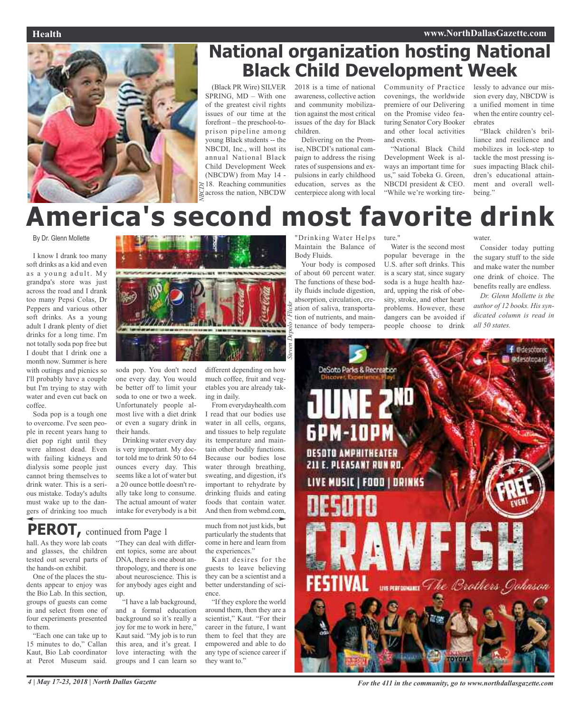

# **National organization hosting National Black Child Development Week**

(Black PR Wire) SILVER SPRING, MD – With one of the greatest civil rights issues of our time at the forefront – the preschool-toprison pipeline among young Black students -- the NBCDI, Inc., will host its annual National Black Child Development Week (NBCDW) from May 14 - 18. Reaching communities across the nation, NBCDW

2018 is a time of national awareness, collective action and community mobilization against the most critical issues of the day for Black children.

Delivering on the Promise, NBCDI's national campaign to address the rising rates of suspensions and expulsions in early childhood education, serves as the centerpiece along with local Community of Practice covenings, the worldwide premiere of our Delivering on the Promise video featuring Senator Cory Booker and other local activities and events.

"National Black Child Development Week is always an important time for us," said Tobeka G. Green, NBCDI president & CEO. "While we're working tire-

lessly to advance our mission every day, NBCDW is a unified moment in time when the entire country celebrates

"Black children's brilliance and resilience and mobilizes in lock-step to tackle the most pressing issues impacting Black children's educational attainment and overall wellbeing."

# **America's second most favorite drink**

## By Dr. Glenn Mollette

I know I drank too many soft drinks as a kid and even as a young adult. My grandpa's store was just across the road and I drank too many Pepsi Colas, Dr Peppers and various other soft drinks. As a young adult I drank plenty of diet drinks for a long time. I'm not totally soda pop free but I doubt that I drink one a month now. Summer is here with outings and picnics so I'll probably have a couple but I'm trying to stay with water and even cut back on coffee.

Soda pop is a tough one to overcome. I've seen people in recent years hang to diet pop right until they were almost dead. Even with failing kidneys and dialysis some people just cannot bring themselves to drink water. This is a serious mistake. Today's adults must wake up to the dangers of drinking too much



soda pop. You don't need one every day. You would be better off to limit your soda to one or two a week. Unfortunately people almost live with a diet drink or even a sugary drink in their hands.

Drinking water every day is very important. My doctor told me to drink 50 to 64 ounces every day. This seems like a lot of water but a 20 ounce bottle doesn't really take long to consume. The actual amount of water intake for everybody is a bit

different depending on how much coffee, fruit and vegetables you are already taking in daily.

From everydayhealth.com I read that our bodies use water in all cells, organs, and tissues to help regulate its temperature and maintain other bodily functions. Because our bodies lose water through breathing, sweating, and digestion, it's important to rehydrate by drinking fluids and eating foods that contain water. And then from webmd.com,

**PEROT,** continued from Page <sup>1</sup>

hall. As they wore lab coats and glasses, the children tested out several parts of the hands-on exhibit.

One of the places the students appear to enjoy was the Bio Lab. In this section, groups of guests can come in and select from one of four experiments presented to them.

"Each one can take up to 15 minutes to do," Callan Kaut, Bio Lab coordinator at Perot Museum said.

"They can deal with different topics, some are about DNA, there is one about anthropology, and there is one about neuroscience. This is for anybody ages eight and up.

"I have a lab background, and a formal education background so it's really a joy for me to work in here," Kaut said. "My job is to run this area, and it's great. I love interacting with the groups and I can learn so

much from not just kids, but particularly the students that come in here and learn from the experiences."

Kant desires for the guests to leave believing they can be a scientist and a better understanding of science.

"If they explore the world around them, then they are a scientist," Kaut. "For their career in the future, I want them to feel that they are empowered and able to do any type of science career if they want to."

"Drinking Water Helps Maintain the Balance of Body Fluids.

Your body is composed of about 60 percent water. The functions of these bodily fluids include digestion, absorption, circulation, creation of saliva, transportation of nutrients, and maintenance of body tempera-

ture."

Water is the second most popular beverage in the U.S. after soft drinks. This is a scary stat, since sugary soda is a huge health hazard, upping the risk of obesity, stroke, and other heart problems. However, these dangers can be avoided if people choose to drink

water.

Consider today putting the sugary stuff to the side and make water the number one drink of choice. The benefits really are endless.

*Dr. Glenn Mollette is the author of 12 books. His syndicated column is read in all 50 states.*



4 | May 17-23, 2018 | North Dallas Gazette **For the 411** in the community, go to www.northdallasgazette.com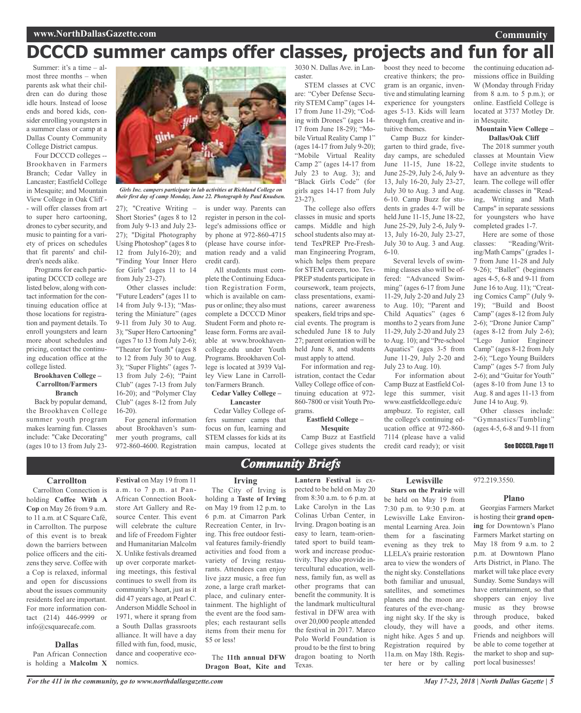# **DCCCD summer camps offer classes, projects and fun for all**

Summer: it's a time – almost three months – when parents ask what their children can do during those idle hours. Instead of loose ends and bored kids, consider enrolling youngsters in a summer class or camp at a Dallas County Community College District campus.

Four DCCCD colleges -- Brookhaven in Farmers Branch; Cedar Valley in Lancaster; Eastfield College in Mesquite; and Mountain View College in Oak Cliff - - will offer classes from art to super hero cartooning, drones to cyber security, and music to painting for a variety of prices on schedules that fit parents' and children's needs alike.

Programs for each participating DCCCD college are listed below, along with contact information for the continuing education office at those locations for registration and payment details. To enroll youngsters and learn more about schedules and pricing, contact the continuing education office at the college listed.

#### **Brookhaven College – Carrollton/Farmers Branch**

Back by popular demand, the Brookhaven College summer youth program makes learning fun. Classes include: "Cake Decorating" (ages 10 to 13 from July 23-



*Girls Inc. campers participate in lab activities at Richland College on their first day of camp Monday, June 22. Photograph by Paul Knudsen.*

27); "Creative Writing – Short Stories" (ages 8 to 12 from July 9-13 and July 23- 27); "Digital Photography Using Photoshop" (ages 8 to 12 from July16-20); and "Finding Your Inner Hero for Girls" (ages 11 to 14 from July  $23-27$ ).

Other classes include: "Future Leaders" (ages 11 to 14 from July 9-13); "Mastering the Miniature" (ages 9-11 from July 30 to Aug. 3); "Super Hero Cartooning" (ages 7 to 13 from July 2-6); "Theater for Youth" (ages 8 to 12 from July 30 to Aug. 3); "Super Flights" (ages 7- 13 from July 2-6); "Paint Club" (ages 7-13 from July 16-20); and "Polymer Clay Club" (ages 8-12 from July  $16-20$ 

For general information about Brookhaven's summer youth programs, call 972-860-4600. Registration is under way. Parents can register in person in the college's admissions office or by phone at 972-860-4715 (please have course information ready and a valid credit card).

All students must complete the Continuing Education Registration Form, which is available on campus or online; they also must complete a DCCCD Minor Student Form and photo release form. Forms are available at www.brookhavencollege.edu under Youth Programs. Brookhaven College is located at 3939 Valley View Lane in Carrollton/Farmers Branch.

#### **Cedar Valley College – Lancaster**

Cedar Valley College offers summer camps that focus on fun, learning and STEM classes for kids at its main campus, located at

3030 N. Dallas Ave. in Lancaster.

STEM classes at CVC are: "Cyber Defense Security STEM Camp" (ages 14- 17 from June 11-29); "Coding with Drones" (ages 14- 17 from June 18-29); "Mobile Virtual Reality Camp 1" (ages 14-17 from July 9-20); "Mobile Virtual Reality Camp 2" (ages 14-17 from July 23 to Aug. 3); and "Black Girls Code" (for girls ages 14-17 from July 23-27). The college also offers

classes in music and sports camps. Middle and high school students also may attend TexPREP Pre-Freshman Engineering Program, which helps them prepare for STEM careers, too. Tex-PREP students participate in coursework, team projects, class presentations, examinations, career awareness speakers, field trips and special events. The program is scheduled June 18 to July 27; parent orientation will be held June 8, and students must apply to attend.

For information and registration, contact the Cedar Valley College office of continuing education at 972- 860-7800 or visit Youth Programs.

**Eastfield College – Mesquite**

Camp Buzz at Eastfield College gives students the creative thinkers; the program is an organic, inventive and stimulating learning experience for youngsters ages 5-13. Kids will learn through fun, creative and intuitive themes.

boost they need to become

Camp Buzz for kindergarten to third grade, fiveday camps, are scheduled June 11-15, June 18-22, June 25-29, July 2-6, July 9- 13, July 16-20, July 23-27, July 30 to Aug. 3 and Aug. 6-10. Camp Buzz for students in grades 4-7 will be held June 11-15, June 18-22, June 25-29, July 2-6, July 9- 13, July 16-20, July 23-27, July 30 to Aug. 3 and Aug. 6-10.

Several levels of swimming classes also will be offered: "Advanced Swimming" (ages 6-17 from June 11-29, July 2-20 and July 23 to Aug. 10); "Parent and Child Aquatics" (ages 6 months to 2 years from June 11-29, July 2-20 and July 23 toAug. 10); and "Pre-school Aquatics" (ages 3-5 from June 11-29, July 2-20 and July 23 to Aug. 10).

For information about Camp Buzz at Eastfield College this summer, visit www.eastfieldcollege.edu/c ampbuzz. To register, call the college's continuing education office at 972-860- 7114 (please have a valid credit card ready); or visit

the continuing education admissions office in Building W (Monday through Friday from 8 a.m. to 5 p.m.); or online. Eastfield College is located at 3737 Motley Dr. in Mesquite.

## **Mountain View College – Dallas/Oak Cliff**

The 2018 summer youth classes at Mountain View College invite students to have an adventure as they learn. The college will offer academic classes in "Reading, Writing and Math Camps" in separate sessions for youngsters who have completed grades 1-7.

Here are some of those classes: "Reading/Writing/Math Camps" (grades 1- 7 from June 11-28 and July 9-26); "Ballet" (beginners ages 4-5, 6-8 and 9-11 from June 16 to Aug. 11); "Creating Comics Camp" (July 9- 19); "Build and Boost Camp" (ages 8-12 from July 2-6); "Drone Junior Camp" (ages 8-12 from July 2-6); "Lego Junior Engineer Camp" (ages 8-12 from July 2-6); "Lego Young Builders Camp" (ages 5-7 from July 2-6); and "Guitar for Youth" (ages 8-10 from June 13 to Aug. 8 and ages 11-13 from June 14 to Aug. 9).

Other classes include: "Gymnastics/Tumbling" (ages 4-5, 6-8 and 9-11 from

## See DCCCD, Page 11

## **Carrollton**

Carrollton Connection is holding **Coffee With A Cop** on May 26 from 9 a.m. to 11 a.m. at C Square Café, in Carrollton. The purpose of this event is to break down the barriers between police officers and the citizens they serve. Coffee with a Cop is relaxed, informal and open for discussions about the issues community residents feel are important. For more information contact (214) 446-9999 or info@csquarecafe.com.

## **Dallas**

Pan African Connection is holding a **Malcolm X**

**Festival** on May 19 from 11 a.m. to 7 p.m. at Pan-African Connection Bookstore Art Gallery and Resource Center. This event will celebrate the culture and life of Freedom Fighter and Humanitarian Malcolm X. Unlike festivals dreamed up over corporate marketing meetings, this festival continues to swell from its community's heart, just as it did 47 years ago, at Pearl C. Anderson Middle School in 1971, where it sprang from a South Dallas grassroots alliance. It will have a day filled with fun, food, music, dance and cooperative economics.

**Irving**

*Community Briefs*

The City of Irving is holding a **Taste of Irving** on May 19 from 12 p.m. to 6 p.m. at Cimarron Park Recreation Center, in Irving. This free outdoor festival features family-friendly activities and food from a variety of Irving restaurants. Attendees can enjoy live jazz music, a free fun zone, a large craft marketplace, and culinary entertainment. The highlight of the event are the food samples; each restaurant sells items from their menu for \$5 or less!

The **11th annual DFW Dragon Boat, Kite and** **Lantern Festival** is expected to be held on May 20 from 8:30 a.m. to 6 p.m. at Lake Carolyn in the Las Colinas Urban Center, in Irving. Dragon boating is an easy to learn, team-orientated sport to build teamwork and increase productivity. They also provide intercultural education, wellness, family fun, as well as other programs that can benefit the community. It is the landmark multicultural festival in DFW area with over 20,000 people attended the festival in 2017. Marco Polo World Foundation is proud to be the first to bring dragon boating to North

Texas.

## **Lewisville Stars on the Prairie** will

be held on May 19 from 7:30 p.m. to 9:30 p.m. at Lewisville Lake Environmental Learning Area. Join them for a fascinating evening as they trek to LLELA's prairie restoration area to view the wonders of the night sky. Constellations both familiar and unusual, satellites, and sometimes planets and the moon are features of the ever-changing night sky. If the sky is cloudy, they will have a night hike. Ages 5 and up. Registration required by 11a.m. on May 18th. Register here or by calling

972.219.3550.

## **Plano**

Georgias Farmers Market is hosting their **grand opening** for Downtown's Plano Farmers Market starting on May 18 from 9 a.m. to 2 p.m. at Downtown Plano Arts District, in Plano. The market will take place every Sunday. Some Sundays will have entertainment, so that shoppers can enjoy live music as they browse through produce, baked goods, and other items. Friends and neighbors will be able to come together at the market to shop and support local businesses!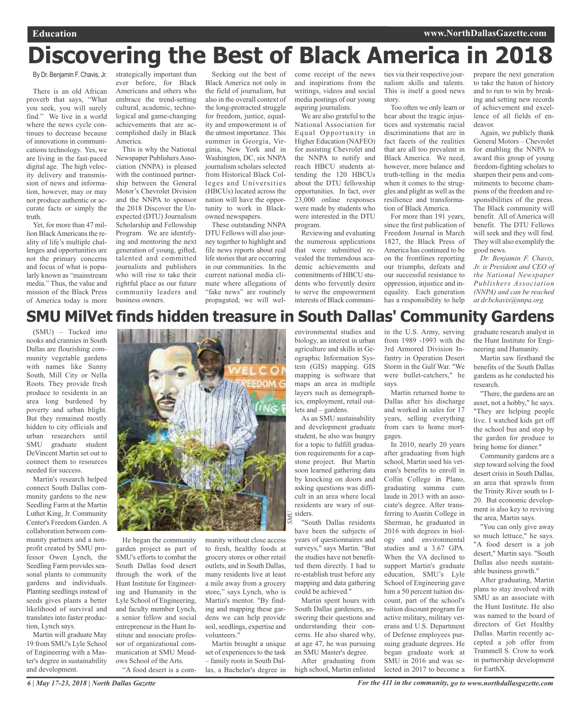# **Discovering the Best of Black America in 2018**

By Dr. Benjamin F. Chavis, Jr.

There is an old African proverb that says, "What you seek, you will surely find." We live in a world where the news cycle continues to decrease because of innovations in communications technology. Yes, we are living in the fast-paced digital age. The high velocity delivery and transmission of news and information, however, may or may not produce authentic or accurate facts or simply the truth.

Yet, for more than 47 million Black Americans the reality of life's multiple challenges and opportunities are not the primary concerns and focus of what is popularly known as "mainstream media." Thus, the value and mission of the Black Press of America today is more strategically important than ever before, for Black Americans and others who embrace the trend-setting cultural, academic, technological and game-changing achievements that are accomplished daily in Black America.

This is why the National Newspaper Publishers Association (NNPA) is pleased with the continued partnership between the General Motor's Chevrolet Division and the NNPA to sponsor the 2018 Discover the Unexpected (DTU) Journalism Scholarship and Fellowship Program. We are identifying and mentoring the next generation of young, gifted, talented and committed journalists and publishers who will rise to take their rightful place as our future community leaders and business owners.

Seeking out the best of Black America not only in the field of journalism, but also in the overall context of the long-protracted struggle for freedom, justice, equality and empowerment is of the utmost importance. This summer in Georgia, Virginia, New York and in Washington, DC, six NNPA journalism scholars selected from Historical Black Colleges and Universities (HBCUs) located across the nation will have the opportunity to work in Blackowned newspapers.

These outstanding NNPA DTU Fellows will also journey together to highlight and file news reports about real life stories that are occurring in our communities. In the current national media climate where allegations of "fake news" are routinely propagated, we will welcome receipt of the news and inspirations from the writings, videos and social media postings of our young aspiring journalists.

We are also grateful to the National Association for Equal Opportunity in Higher Education (NAFEO) for assisting Chevrolet and the NNPA to notify and reach HBCU students attending the 120 HBCUs about the DTU fellowship opportunities. In fact, over 23,000 online responses were made by students who were interested in the DTU program.

Reviewing and evaluating the numerous applications that were submitted revealed the tremendous academic achievements and commitments of HBCU students who fervently desire to serve the empowerment interests of Black communities via their respective journalism skills and talents. This is itself a good news story.

Too often we only learn or hear about the tragic injustices and systematic racial discriminations that are in fact facets of the realities that are all too prevalent in Black America. We need, however, more balance and truth-telling in the media when it comes to the struggles and plight as well as the resilience and transformation of Black America.

For more than 191 years, since the first publication of Freedom Journal in March 1827, the Black Press of America has continued to be on the frontlines reporting our triumphs, defeats and our successful resistance to oppression, injustice and inequality. Each generation has a responsibility to help

prepare the next generation to take the baton of history and to run to win by breaking and setting new records of achievement and excellence of all fields of endeavor.

Again, we publicly thank General Motors – Chevrolet for enabling the NNPA to award this group of young freedom-fighting scholars to sharpen their pens and commitments to become champions of the freedom and responsibilities of the press. The Black community will benefit. All of America will benefit. The DTU Fellows will seek and they will find. They will also exemplify the good news.

*Dr. Benjamin F. Chavis, Jr. is President and CEO of the National Newspaper Publishers Association (NNPA) and can be reached at dr.bchavis@nnpa.org.*

# **SMU MilVet finds hidden treasure in South Dallas' Community Gardens**

(SMU) – Tucked into nooks and crannies in South Dallas are flourishing community vegetable gardens with names like Sunny South, Mill City or Nella Roots. They provide fresh produce to residents in an area long burdened by poverty and urban blight. But they remained mostly hidden to city officials and urban researchers until SMU graduate student DeVincent Martin set out to connect them to resources needed for success.

Martin's research helped connect South Dallas community gardens to the new Seedling Farm at the Martin Luther King, Jr. Community Center's Freedom Garden.A collaboration between community partners and a nonprofit created by SMU professor Owen Lynch, the Seedling Farm provides seasonal plants to community gardens and individuals. Planting seedlings instead of seeds gives plants a better likelihood of survival and translates into faster production, Lynch says.

Martin will graduate May 19 from SMU's Lyle School of Engineering with a Master's degree in sustainability and development.



He began the community garden project as part of SMU's efforts to combat the South Dallas food desert through the work of the Hunt Institute for Engineering and Humanity in the Lyle School of Engineering, and faculty member Lynch, a senior fellow and social entrepreneur in the Hunt Institute and associate professor of organizational communication at SMU Meadows School of the Arts. "A food desert is a community without close access to fresh, healthy foods at grocery stores or other retail outlets, and in South Dallas, many residents live at least a mile away from a grocery store," says Lynch, who is Martin's mentor. "By finding and mapping these gardens we can help provide soil, seedlings, expertise and volunteers."

Martin brought a unique set of experiences to the task – family roots in South Dallas, a Bachelor's degree in environmental studies and biology, an interest in urban agriculture and skills in Geographic Information System (GIS) mapping. GIS mapping is software that maps an area in multiple layers such as demographics, employment, retail outlets and – gardens.

As an SMU sustainability and development graduate student, he also was hungry for a topic to fulfill graduation requirements for a capstone project. But Martin soon learned gathering data by knocking on doors and asking questions was difficult in an area where local residents are wary of outsiders.

"South Dallas residents have been the subjects of years of questionnaires and surveys," says Martin. "But the studies have not benefitted them directly. I had to re-establish trust before any mapping and data gathering could be achieved."

Martin spent hours with South Dallas gardeners, answering their questions and understanding their concerns. He also shared why, at age 47, he was pursuing an SMU Master's degree.

After graduating from high school, Martin enlisted in the U.S. Army, serving from 1989 -1993 with the 3rd Armored Division Infantry in Operation Desert Storm in the Gulf War. "We were bullet-catchers," he says.

Martin returned home to Dallas after his discharge and worked in sales for 17 years, selling everything from cars to home mortgages.

In 2010, nearly 20 years after graduating from high school, Martin used his veteran's benefits to enroll in Collin College in Plano, graduating summa cum laude in 2013 with an associate's degree. After transferring to Austin College in Sherman, he graduated in 2016 with degrees in biology and environmental studies and a 3.67 GPA. When the VA declined to support Martin's graduate education, SMU's Lyle School of Engineering gave him a 50 percent tuition discount, part of the school's tuition discount program for active military, military veterans and U.S. Department of Defense employees pursuing graduate degrees. He began graduate work at SMU in 2016 and was selected in 2017 to become a

graduate research analyst in the Hunt Institute for Engineering and Humanity.

Martin saw firsthand the benefits of the South Dallas gardens as he conducted his research.

"There, the gardens are an asset, not a hobby," he says. "They are helping people live. I watched kids get off the school bus and stop by the garden for produce to bring home for dinner."

Community gardens are a step toward solving the food desert crisis in South Dallas, an area that sprawls from the Trinity River south to I-20. But economic development is also key to reviving the area, Martin says.

"You can only give away so much lettuce," he says. "A food desert is a job desert," Martin says. "South Dallas also needs sustainable business growth."

After graduating, Martin plans to stay involved with SMU as an associate with the Hunt Institute. He also was named to the board of directors of Get Healthy Dallas. Martin recently accepted a job offer from Trammell S. Crow to work in partnership development for EarthX.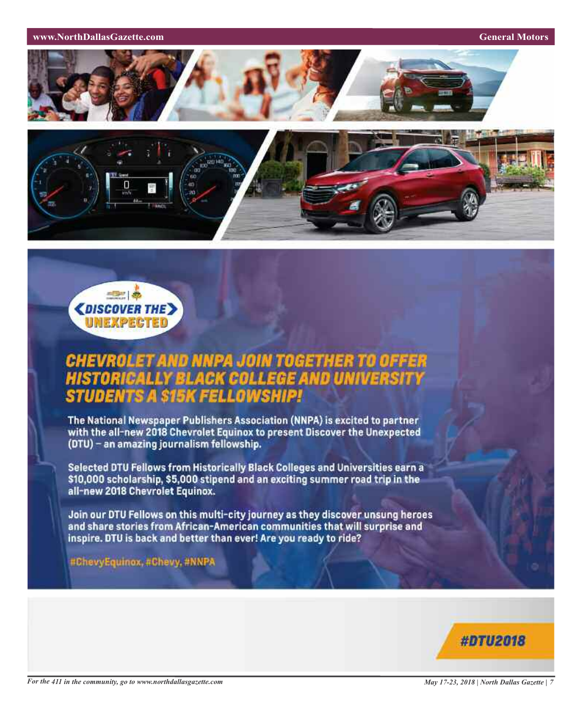**www.NorthDallasGazette.com General Motors** 







# **CHEVROLET AND NNPA JOIN TOGETHER TO OFFER<br>HISTORICALLY BLACK COLLEGE AND UNIVERSITY STUDENTS A SIEK FELLOWSK**

The National Newspaper Publishers Association (NNPA) is excited to partner with the all-new 2018 Chevrolet Equinox to present Discover the Unexpected (DTU) - an amazing journalism fellowship.

Selected DTU Fellows from Historically Black Colleges and Universities earn a \$10,000 scholarship, \$5,000 stipend and an exciting summer road trip in the all-new 2018 Chevrolet Equinox.

Join our DTU Fellows on this multi-city journey as they discover unsung heroes and share stories from African-American communities that will surprise and inspire. DTU is back and better than ever! Are you ready to ride?

#ChevyEquinox, #Chevy, #NNPA

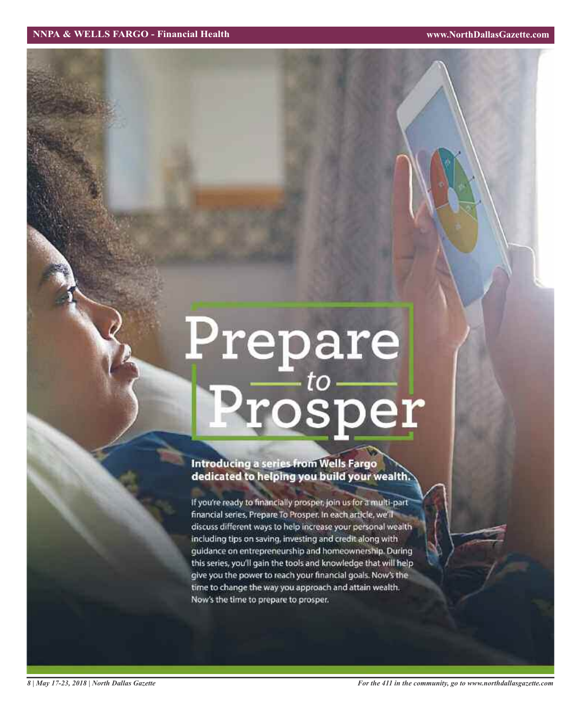# Prepare<br>Prosper

## **Introducing a series from Wells Fargo** dedicated to helping you build your wealth.

If you're ready to financially prosper, join us for a multi-part financial series, Prepare To Prosper. In each article, we'll discuss different ways to help increase your personal wealth including tips on saving, investing and credit along with guidance on entrepreneurship and homeownership. During this series, you'll gain the tools and knowledge that will help give you the power to reach your financial goals. Now's the time to change the way you approach and attain wealth. Now's the time to prepare to prosper.

*8 | May 17-23, 2018 | North Dallas Gazette*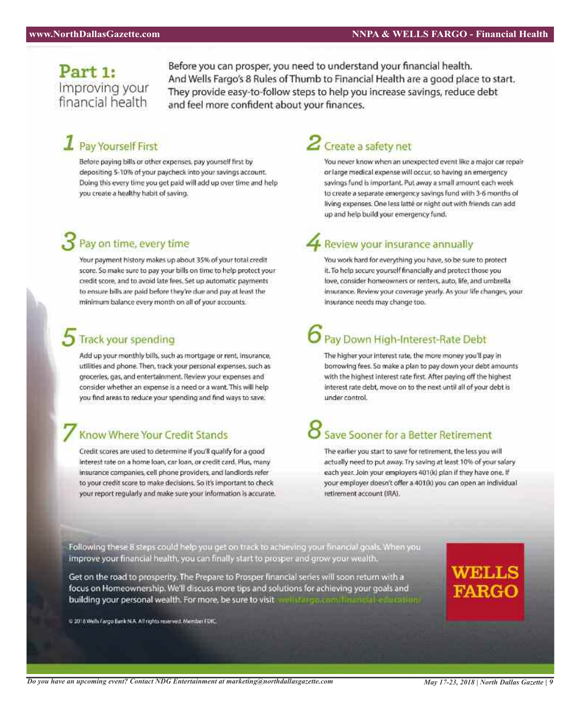## Part 1: Improving your financial health

Before you can prosper, you need to understand your financial health. And Wells Fargo's 8 Rules of Thumb to Financial Health are a good place to start. They provide easy-to-follow steps to help you increase savings, reduce debt and feel more confident about your finances.

# $\mathbf 1$  Pay Yourself First

Before paying bills or other expenses, pay yourself first by depositing 5-10% of your paycheck into your savings account. Doing this every time you get paid will add up over time and help you create a healthy habit of saving.

# Pay on time, every time

Your payment history makes up about 35% of your total credit score. So make sure to pay your bills on time to help protect your credit score, and to avoid late fees. Set up automatic payments to ensure bills are paid before they're due and pay at least the minimum balance every month on all of your accounts.

## **Track your spending**

Add up your monthly bills, such as mortgage or rent, insurance, utilities and phone. Then, track your personal expenses, such as groceries, gas, and entertainment. Review your expenses and consider whether an expense is a need or a want. This will help you find areas to reduce your spending and find ways to save.

## Know Where Your Credit Stands

Credit scores are used to determine if you'll qualify for a good interest rate on a home loan, car loan, or credit card. Plus, many insurance companies, cell phone providers, and landlords refer to your credit score to make decisions. So it's important to check your report regularly and make sure your information is accurate.

# $2$  Create a safety net

You never know when an unexpected event like a major car repair or large medical expense will occur, so having an emergency savings fund is important. Put away a small amount each week to create a separate emergency savings fund with 3-6 months of living expenses. One less latte or night out with friends can add up and help build your emergency fund.

# **A** Review your insurance annually

You work hard for everything you have, so be sure to protect it. To help secure yourself financially and protect those you love, consider homeowners or renters, auto, life, and umbrella insurance. Review your coverage yearly. As your life changes, your insurance needs may change too.

# Pay Down High-Interest-Rate Debt

The higher your interest rate, the more money you'll pay in borrowing fees. So make a plan to pay down your debt amounts with the highest interest rate first. After paying off the highest interest rate debt, move on to the next until all of your debt is under control.

# Save Sooner for a Better Retirement

The earlier you start to save for retirement, the less you will actually need to put away. Try saving at least 10% of your salary each year. Join your employers 401(k) plan if they have one. If your employer doesn't offer a 401(k) you can open an individual retirement account (IRA).

Following these 8 steps could help you get on track to achieving your financial goals. When you improve your financial health, you can finally start to prosper and grow your wealth.

Get on the road to prosperity. The Prepare to Prosper financial series will soon return with a focus on Homeownership. We'll discuss more tips and solutions for achieving your goals and building your personal wealth. For more, be sure to visit well the governmental inconcretions

@ 2018 Wells Fargo Bank N.A. All rights reserved. Member FDIC.

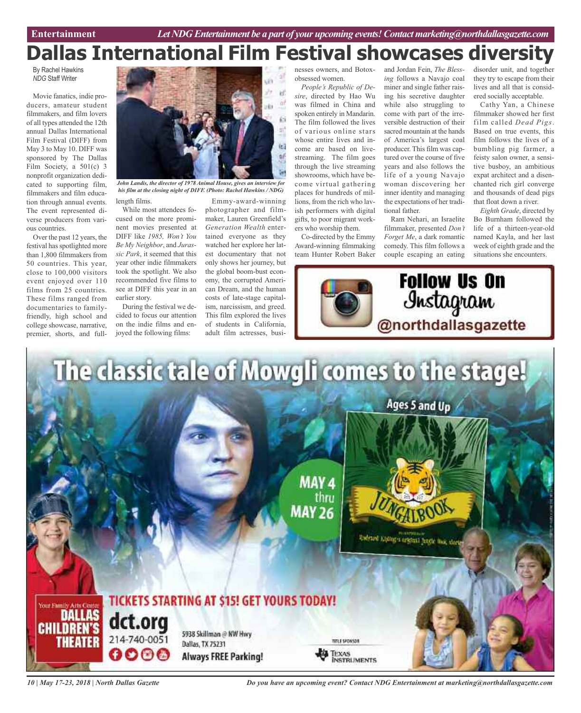# **Dallas International Film Festival showcases diversity**

By Rachel Hawkins *NDG* Staff Writer

Movie fanatics, indie producers, amateur student filmmakers, and film lovers of all types attended the 12th annual Dallas International Film Festival (DIFF) from May 3 to May 10. DIFF was sponsored by The Dallas Film Society, a 501(c) 3 nonprofit organization dedicated to supporting film, filmmakers and film education through annual events. The event represented diverse producers from various countries.

Over the past 12 years, the festival has spotlighted more than 1,800 filmmakers from 50 countries. This year, close to 100,000 visitors event enjoyed over 110 films from 25 countries. These films ranged from documentaries to familyfriendly, high school and college showcase, narrative, premier, shorts, and full-



length films. *John Landis, the director of 1978 Animal House, gives an interview for his film at the closing night of DIFF. (Photo: Rachel Hawkins / NDG)*

While most attendees focused on the more prominent movies presented at DIFF like *1985, Won't You Be My Neighbor*, and *Jurassic Park*, it seemed that this year other indie filmmakers took the spotlight. We also recommended five films to see at DIFF this year in an earlier story.

During the festival we decided to focus our attention on the indie films and enjoyed the following films:

Emmy-award-winning photographer and filmmaker, Lauren Greenfield's *Generation Wealth* entertained everyone as they watched her explore her latest documentary that not only shows her journey, but the global boom-bust economy, the corrupted American Dream, and the human costs of late-stage capitalism, narcissism, and greed. This film explored the lives of students in California, adult film actresses, busi-

nesses owners, and Botoxobsessed women.

*People's Republic of Desire*, directed by Hao Wu was filmed in China and spoken entirely in Mandarin. The film followed the lives of various online stars whose entire lives and income are based on livestreaming. The film goes through the live streaming showrooms, which have become virtual gathering places for hundreds of millions, from the rich who lavish performers with digital gifts, to poor migrant workers who worship them.

Co-directed by the Emmy Award-winning filmmaking team Hunter Robert Baker and Jordan Fein, *The Blessing* follows a Navajo coal miner and single father raising his secretive daughter while also struggling to come with part of the irreversible destruction of their sacred mountain at the hands of America's largest coal producer. This film was captured over the course of five years and also follows the life of a young Navajo woman discovering her inner identity and managing the expectations of her traditional father.

Ram Nehari, an Israelite filmmaker, presented *Don't Forget Me*, a dark romantic comedy. This film follows a couple escaping an eating

disorder unit, and together they try to escape from their lives and all that is considered socially acceptable.

Cathy Yan, a Chinese filmmaker showed her first film called *Dead Pigs*. Based on true events, this film follows the lives of a bumbling pig farmer, a feisty salon owner, a sensitive busboy, an ambitious expat architect and a disenchanted rich girl converge and thousands of dead pigs that float down a river.

*Eighth Grade*, directed by Bo Burnham followed the life of a thirteen-year-old named Kayla, and her last week of eighth grade and the situations she encounters.





*10 | May 17-23, 2018 | North Dallas Gazette*

*Do you have an upcoming event? Contact NDG Entertainment at marketing@northdallasgazette.com*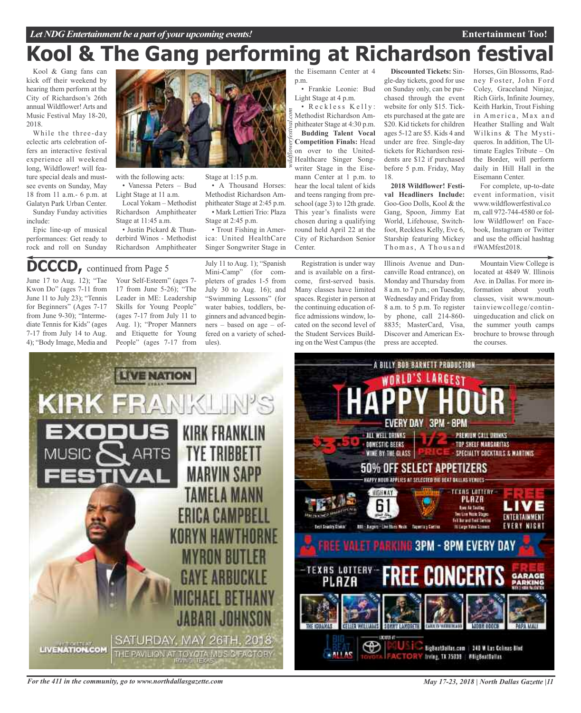# **Kool & The Gang performing at Richardson festival**

Kool & Gang fans can kick off their weekend by hearing them perform at the City of Richardson's 26th annual Wildflower!Arts and Music Festival May 18-20, 2018.

While the three-day eclectic arts celebration offers an interactive festival experience all weekend long, Wildflower! will feature special deals and mustsee events on Sunday, May 18 from 11 a.m.- 6 p.m. at Galatyn Park Urban Center.

Sunday Funday activities include:

Epic line-up of musical performances: Get ready to rock and roll on Sunday



with the following acts:

• Vanessa Peters – Bud Light Stage at 11 a.m.

Local Yokam – Methodist Richardson Amphitheater Stage at 11:45 a.m.

• Justin Pickard & Thunderbird Winos - Methodist Richardson Amphitheater

# **DCCCD,** continued from Page <sup>5</sup>

June 17 to Aug. 12); "Tae Kwon Do" (ages 7-11 from June 11 to July 23); "Tennis for Beginners" (Ages 7-17 from June 9-30); "Intermediate Tennis for Kids" (ages 7-17 from July 14 to Aug. 4); "Body Image, Media and

Your Self-Esteem" (ages 7- 17 from June 5-26); "The Leader in ME: Leadership Skills for Young People" (ages 7-17 from July 11 to Aug. 1); "Proper Manners and Etiquette for Young People" (ages 7-17 from

July 11 to Aug. 1); "Spanish Mini-Camp" (for completers of grades 1-5 from July 30 to Aug. 16); and "Swimming Lessons" (for water babies, toddlers, beginners and advanced beginners – based on age – offered on a variety of schedules).

Stage at 1:15 p.m.

Stage at 2:45 p.m.

• A Thousand Horses: Methodist Richardson Amphitheater Stage at 2:45 p.m. • Mark Lettieri Trio: Plaza

• Trout Fishing in America: United HealthCare Singer Songwriter Stage in

the Eisemann Center at 4 p.m.

• Frankie Leonie: Bud Light Stage at 4 p.m.

*wildflowerfestival.com* • Reckless Kelly: Methodist Richardson Amphitheater Stage at 4:30 p.m. **Budding Talent Vocal Competition Finals:** Head on over to the United-Healthcare Singer Songwriter Stage in the Eisemann Center at 1 p.m. to hear the local talent of kids and teens ranging from preschool (age 3) to 12th grade. This year's finalists were chosen during a qualifying round held April 22 at the City of Richardson Senior **Center**.

Registration is under way and is available on a firstcome, first-served basis. Many classes have limited spaces. Register in person at the continuing education office admissions window, located on the second level of the Student Services Building on the West Campus(the

**Discounted Tickets:** Single-day tickets, good for use on Sunday only, can be purchased through the event website for only \$15. Tickets purchased at the gate are \$20. Kid tickets for children ages 5-12 are \$5. Kids 4 and under are free. Single-day tickets for Richardson residents are \$12 if purchased before 5 p.m. Friday, May 18.

**2018 Wildflower! Festival Headliners Include:** Goo-Goo Dolls, Kool & the Gang, Spoon, Jimmy Eat World, Lifehouse, Switchfoot, Reckless Kelly, Eve 6, Starship featuring Mickey Thomas, A Thousand

Illinois Avenue and Duncanville Road entrance), on Monday and Thursday from 8 a.m. to 7 p.m.; on Tuesday, Wednesday and Friday from 8 a.m. to 5 p.m. To register by phone, call 214-860- 8835; MasterCard, Visa, Discover and American Express are accepted.

A BILLY BOB BARNETT PRODUCTION

Horses, Gin Blossoms, Radney Foster, John Ford Coley, Graceland Ninjaz, Rich Girls, Infinite Journey, Keith Harkin, Trout Fishing in America, Max and Heather Stalling and Walt Wilkins & The Mystiqueros. In addition, The Ultimate Eagles Tribute – On the Border, will perform daily in Hill Hall in the Eisemann Center.

For complete, up-to-date event information, visit www.wildflowerfestival.co m, call 972-744-4580 or follow Wildflower! on Facebook, Instagram or Twitter and use the official hashtag #WAMfest2018.

Mountain View College is located at 4849 W. Illinois Ave. in Dallas. For more information about youth classes, visit www.mountainviewcollege/continuingeducation and click on the summer youth camps brochure to browse through the courses.

**Entertainment Too!**





*For the 411 in the community, go to www.northdallasgazette.com*

*May 17-23, 2018 | North Dallas Gazette |11*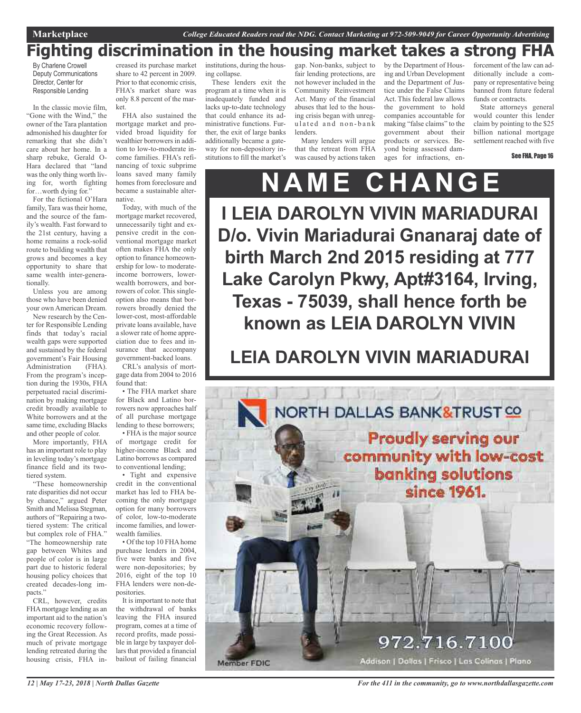# **Fighting discrimination in the housing market takes a strong FHA**

By Charlene Crowell Deputy Communications Director, Center for Responsible Lending

In the classic movie film, "Gone with the Wind," the owner of the Tara plantation admonished his daughter for remarking that she didn't care about her home. In a sharp rebuke, Gerald O-Hara declared that "land was the only thing worth living for, worth fighting for…worth dying for."

For the fictional O'Hara family, Tara was their home, and the source of the family's wealth. Fast forward to the 21st century, having a home remains a rock-solid route to building wealth that grows and becomes a key opportunity to share that same wealth inter-generationally.

Unless you are among those who have been denied your own American Dream.

New research by the Center for Responsible Lending finds that today's racial wealth gaps were supported and sustained by the federal government's Fair Housing Administration (FHA). From the program's inception during the 1930s, FHA perpetuated racial discrimination by making mortgage credit broadly available to White borrowers and at the same time, excluding Blacks and other people of color.

More importantly, FHA has an important role to play in leveling today's mortgage finance field and its twotiered system.

"These homeownership rate disparities did not occur by chance," argued Peter Smith and Melissa Stegman, authors of "Repairing a twotiered system: The critical but complex role of FHA." "The homeownership rate gap between Whites and people of color is in large part due to historic federal housing policy choices that created decades-long impacts."

CRL, however, credits FHAmortgage lending as an important aid to the nation's economic recovery following the Great Recession. As much of private mortgage lending retreated during the housing crisis, FHA in-

creased its purchase market share to 42 percent in 2009. Prior to that economic crisis, FHA's market share was only 8.8 percent of the market.

FHA also sustained the mortgage market and provided broad liquidity for wealthier borrowers in addition to low-to-moderate income families. FHA's refinancing of toxic subprime loans saved many family homes from foreclosure and became a sustainable alternative.

Today, with much of the mortgage market recovered, unnecessarily tight and expensive credit in the conventional mortgage market often makes FHA the only option to finance homeownership for low- to moderateincome borrowers, lowerwealth borrowers, and borrowers of color. This singleoption also means that borrowers broadly denied the lower-cost, most-affordable private loans available, have a slower rate of home appreciation due to fees and insurance that accompany government-backed loans.

CRL's analysis of mortgage data from 2004 to 2016 found that:

• The FHA market share for Black and Latino borrowers now approaches half of all purchase mortgage lending to these borrowers;

• FHA is the major source of mortgage credit for higher-income Black and Latino borrows as compared to conventional lending;

• Tight and expensive credit in the conventional market has led to FHA becoming the only mortgage option for many borrowers of color, low-to-moderate income families, and lowerwealth families.

• Of the top 10 FHA home purchase lenders in 2004, five were banks and five were non-depositories; by 2016, eight of the top 10 FHA lenders were non-depositories.

It is important to note that the withdrawal of banks leaving the FHA insured program, comes at a time of record profits, made possible in large by taxpayer dollars that provided a financial bailout of failing financial

institutions, during the housing collapse.

These lenders exit the program at a time when it is inadequately funded and lacks up-to-date technology that could enhance its administrative functions. Further, the exit of large banks additionally became a gateway for non-depository institutions to fill the market's

gap. Non-banks, subject to fair lending protections, are not however included in the Community Reinvestment Act. Many of the financial abuses that led to the housing crisis began with unregulated and non-bank lenders.

Many lenders will argue that the retreat from FHA was caused by actions taken

by the Department of Housing and Urban Development and the Department of Justice under the False Claims Act. This federal law allows the government to hold companies accountable for making "false claims" to the government about their products or services. Beyond being assessed damages for infractions, enforcement of the law can additionally include a company or representative being banned from future federal funds or contracts.

State attorneys general would counter this lender claim by pointing to the \$25 billion national mortgage settlement reached with five

See FHA, Page 16

**N A M E C H A NGE I LEIA DAROLYN VIVIN MARIADURAI D/o. Vivin Mariadurai Gnanaraj date of birth March 2nd 2015 residing at 777 Lake Carolyn Pkwy, Apt#3164, Irving, Texas - 75039, shall hence forth be known as LEIA DAROLYN VIVIN**

# **LEIA DAROLYN VIVIN MARIADURAI**



*12 | May 17-23, 2018 | North Dallas Gazette*

*For the 411 in the community, go to www.northdallasgazette.com*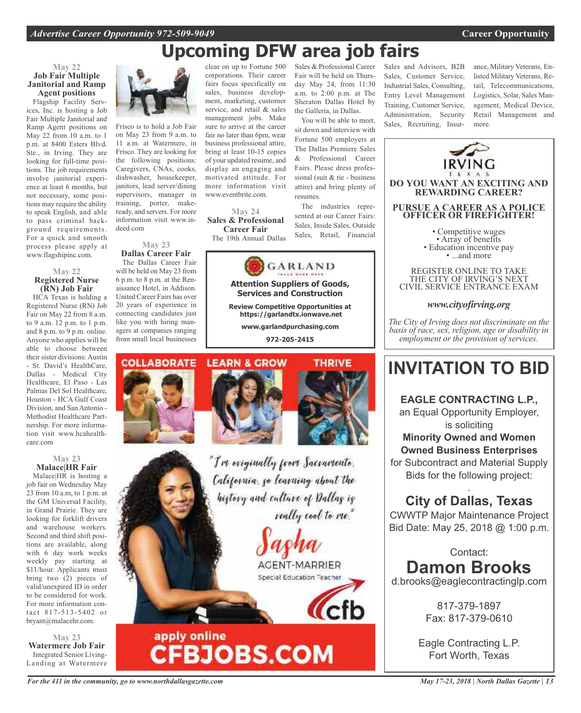# **Upcoming DFW area job fairs**

## **May 22 Job Fair Multiple Janitorial and Ramp Agent positions**

Flagship Facility Services, Inc. is hosting a Job Fair Multiple Janitorial and Ramp Agent positions on May 22 from 10 a.m. to 1 p.m. at 8400 Esters Blvd. Ste., in Irving. They are looking for full-time positions. The job requirements involve janitorial experience at least 6 months, but not necessary, some positions may require the ability to speak English, and able to pass criminal background requirements. For a quick and smooth process please apply at www.flagshipinc.com.

## **May 22 Registered Nurse (RN) Job Fair**

HCA Texas is holding a Registered Nurse (RN) Job Fair on May 22 from 8 a.m. to 9 a.m. 12 p.m. to 1 p.m. and 8 p.m. to 9 p.m. online. Anyone who applies will be able to choose between their sister divisions: Austin - St. David's HealthCare, Dallas - Medical City Healthcare, El Paso - Las Palmas Del Sol Healthcare, Houston - HCA Gulf Coast Division, and San Antonio - Methodist Healthcare Partnership. For more information visit www.hcahealthcare.com

## **May 23 Malace|HR Fair**

Malace|HR is hosting a job fair on Wednesday May 23 from 10 a.m, to 1 p.m. at the GM Universal Facility, in Grand Prairie. They are looking for forklift drivers and warehouse workers. Second and third shift positions are available, along with 6 day work weeks weekly pay starting at \$11/hour. Applicants must bring two (2) pieces of valid/unexpired ID in order to be considered for work. For more information contact 817-513-5402 or bryant@malacehr.com.

**May 23 Watermere Job Fair** Integrated Senior Living-Landing at Watermere



Frisco is to hold a Job Fair on May 23 from 9 a.m. to 11 a.m. at Watermere, in Frisco. They are looking for the following positions: Caregivers, CNAs, cooks, dishwasher, housekeeper, janitors, lead server/dining supervisors, manager in training, porter, makeready, and servers. For more information visit www.indeed.com

## **May 23 Dallas Career Fair**

The Dallas Career Fair will be held on May 23 from 6 p.m. to 8 p.m. at the Renaissance Hotel, in Addison. United Career Fairs has over 20 years of experience in connecting candidates just like you with hiring managers at companies ranging from small local businesses

clear on up to Fortune 500 corporations. Their career fairs focus specifically on sales, business development, marketing, customer service, and retail & sales management jobs. Make sure to arrive at the career fair no later than 6pm, wear business professional attire, bring at least 10-15 copies of your updated resume, and display an engaging and motivated attitude. For more information visit www.eventbrite.com.

**May 24 Sales & Professional Career Fair** The 19th Annual Dallas



**Attention Suppliers of Goods, Services and Construction**

**Review Competitive Opportunities at https://garlandtx.ionwave.net**

**www.garlandpurchasing.com 972-205-2415**

#### **COLLABORATE LEARN & GROW**

apply online



**CFBJOBS.COM** 

"I've originally from Sacramento. California, go learning about the history and culture of Dallas is really cool to me."

> AGENT-MARRIER Special Education Teacher

Sales & Professional Career Fair will be held on Thursday May 24, from 11:30 a.m. to 2:00 p.m. at The Sheraton Dallas Hotel by the Galleria, in Dallas.

You will be able to meet, sit down and interview with Fortune 500 employers at The Dallas Premiere Sales & Professional Career Fairs. Please dress professional (suit & tie - business attire) and bring plenty of resumes.

The industries represented at our Career Fairs: Sales, Inside Sales, Outside Sales, Retail, Financial Sales and Advisors, B2B Sales, Customer Service, Industrial Sales, Consulting, Entry Level Management Training, Customer Service, Administration, Security Sales, Recruiting, Insurance, Military Veterans, Enlisted Military Veterans, Retail, Telecommunications, Logistics, Solar, Sales Management, Medical Device, Retail Management and more.



**EAGLE CONTRACTING L.P.,** an Equal Opportunity Employer, is soliciting **Minority Owned and Women**

**Owned Business Enterprises**

for Subcontract and Material Supply Bids for the following project:

## . **City of Dallas, Texas**

CWWTP Major Maintenance Project Bid Date: May 25, 2018 @ 1:00 p.m.

Contact:

**Damon Brooks**

d.brooks@eaglecontractinglp.com

817-379-1897 Fax: 817-379-0610

Eagle Contracting L.P. Fort Worth, Texas

*May 17-23, 2018 | North Dallas Gazette | 13*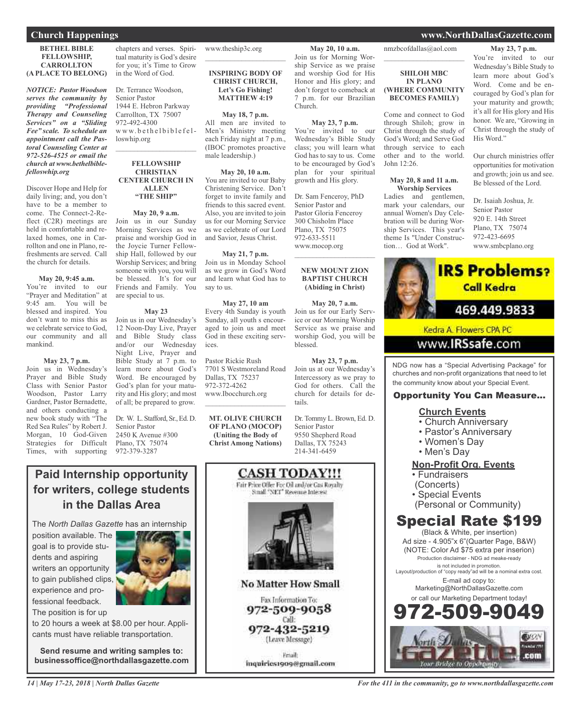## **BETHEL BIBLE FELLOWSHIP, CARROLLTON (A PLACE TO BELONG)**

*NOTICE: Pastor Woodson serves the community by providing "Professional Therapy and Counseling Services" on a "Sliding Fee" scale. To schedule an appointment call the Pastoral Counseling Center at 972-526-4525 or email the church at www.bethelbiblefelloswhip.org*

Discover Hope and Help for daily living; and, you don't have to be a member to come. The Connect-2-Reflect (C2R) meetings are held in comfortable and relaxed homes, one in Carrollton and one in Plano, refreshments are served. Call the church for details.

## **May 20, 9:45 a.m.**

You're invited to our "Prayer and Meditation" at 9:45 am. You will be blessed and inspired. You don't want to miss this as we celebrate service to God, our community and all mankind.

## **May 23, 7 p.m.**

Join us in Wednesday's Prayer and Bible Study Class with Senior Pastor Woodson, Pastor Larry Gardner, Pastor Bernadette, and others conducting a new book study with "The Red Sea Rules" by Robert J. Morgan, 10 God-Given Strategies for Difficult Times, with supporting

chapters and verses. Spiritual maturity is God's desire for you; it's Time to Grow in the Word of God.

Dr. Terrance Woodson, Senior Pastor 1944 E. Hebron Parkway Carrollton, TX 75007 972-492-4300 www.bethelbiblefelloswhip.org

## **FELLOWSHIP CHRISTIAN CENTER CHURCH IN ALLEN "THE SHIP"**

 $\mathcal{L}_\text{max}$  and  $\mathcal{L}_\text{max}$  and  $\mathcal{L}_\text{max}$ 

## **May 20, 9 a.m.**

Join us in our Sunday Morning Services as we praise and worship God in the Joycie Turner Fellowship Hall, followed by our Worship Services; and bring someone with you, you will be blessed. It's for our Friends and Family. You are special to us.

## **May 23**

Join us in our Wednesday's 12 Noon-Day Live, Prayer and Bible Study class and/or our Wednesday Night Live, Prayer and Bible Study at 7 p.m. to learn more about God's Word. Be encouraged by God's plan for your maturity and His glory; and most of all; be prepared to grow.

Dr. W. L. Stafford, Sr., Ed. D. Senior Pastor 2450 K Avenue #300 Plano, TX 75074 972-379-3287

## www.theship3c.org

**INSPIRING BODY OF CHRIST CHURCH, Let's Go Fishing! MATTHEW 4:19**

 $\mathcal{L}_\text{max}$  , which is a set of the set of the set of the set of the set of the set of the set of the set of the set of the set of the set of the set of the set of the set of the set of the set of the set of the set of

**May 18, 7 p.m.** All men are invited to Men's Ministry meeting each Friday night at 7 p.m., (IBOC promotes proactive male leadership.)

## **May 20, 10 a.m.**

You are invited to our Baby Christening Service. Don't forget to invite family and friends to this sacred event. Also, you are invited to join us for our Morning Service as we celebrate of our Lord and Savior, Jesus Christ.

## **May 21, 7 p.m.**

Join us in Monday School as we grow in God's Word and learn what God has to say to us.

#### **May 27, 10 am** Every 4th Sunday is youth Sunday, all youth s encouraged to join us and meet God in these exciting services.

Pastor Rickie Rush 7701 S Westmoreland Road Dallas, TX 75237 972-372-4262 www.Ibocchurch.org  $\mathcal{L}_\text{max}$  and  $\mathcal{L}_\text{max}$  and  $\mathcal{L}_\text{max}$ 

**MT. OLIVE CHURCH OF PLANO (MOCOP) (Uniting the Body of Christ Among Nations)**



nmzbcofdallas@aol.com  $\overline{\phantom{a}}$  , and the set of the set of the set of the set of the set of the set of the set of the set of the set of the set of the set of the set of the set of the set of the set of the set of the set of the set of the s

**May 20, 10 a.m.** Join us for Morning Worship Service as we praise and worship God for His Honor and His glory; and don't forget to comeback at 7 p.m. for our Brazilian

**May 23, 7 p.m.** You're invited to our Wednesday's Bible Study class; you will learn what God has to say to us. Come to be encouraged by God's plan for your spiritual growth and His glory.

Dr. Sam Fenceroy, PhD Senior Pastor and Pastor Gloria Fenceroy 300 Chisholm Place Plano, TX 75075 972-633-5511 www.mocop.org

 $\overline{\phantom{a}}$  , which is a set of the set of the set of the set of the set of the set of the set of the set of the set of the set of the set of the set of the set of the set of the set of the set of the set of the set of th

**NEW MOUNT ZION BAPTIST CHURCH (Abiding in Christ)**

**May 20, 7 a.m.** Join us for our Early Service or our Morning Worship Service as we praise and worship God, you will be

**May 23, 7 p.m.** Join us at our Wednesday's Intercessory as we pray to God for others. Call the church for details for de-

Dr. Tommy L. Brown, Ed. D.

blessed.

tails.

Senior Pastor 9550 Shepherd Road Dallas, TX 75243 214-341-6459

Church.

## **SHILOH MBC IN PLANO (WHERE COMMUNITY BECOMES FAMILY)**

Come and connect to God through Shiloh; grow in Christ through the study of God's Word; and Serve God through service to each other and to the world. John 12:26.

#### **May 20, 8 and 11 a.m. Worship Services**

Ladies and gentlemen, mark your calendars, our annual Women's Day Celebration will be during Worship Services. This year's theme Is "Under Construction… God at Work".

**May 23, 7 p.m.** You're invited to our Wednesday's Bible Study to learn more about God's Word. Come and be encouraged by God's plan for your maturity and growth; it's all for His glory and His honor. We are, "Growing in Christ through the study of His Word."

Our church ministries offer opportunities for motivation and growth; join us and see. Be blessed of the Lord.

Dr. Isaiah Joshua, Jr. Senior Pastor 920 E. 14th Street Plano, TX 75074 972-423-6695 www.smbcplano.org



NDG now has a "Special Advertising Package" for churches and non-profit organizations that need to let the community know about your Special Event.

## Opportunity You Can Measure...

## **Church Events**

- Church Anniversary
- Pastor's Anniversary
- Women's Day
- Men's Day

## **Non-Profit Org. Events**

- Fundraisers
- (Concerts)
- Special Events
- (Personal or Community)

# Special Rate \$199

(Black & White, per insertion) Ad size - 4.905"x 6"(Quarter Page, B&W) (NOTE: Color Ad \$75 extra per inserion) Production disclaimer - NDG ad meake-ready is not included in promotion. Layout/production of "copy ready"ad will be a nominal extra cost. E-mail ad copy to: Marketing@NorthDallasGazette.com or call our Marketing Department today!

972-509-9049 **EUON** com

The *North Dallas Gazette* has an internship position available. The goal is to provide students and aspiring writers an opportunity to gain published clips, experience and professional feedback.



The position is for up to 20 hours a week at \$8.00 per hour. Appli-

cants must have reliable transportation.

**Paid Internship opportunity for writers, college students**

**in the Dallas Area**

**Send resume and writing samples to: businessoffice@northdallasgazette.com**

*For the 411 in the community, go to www.northdallasgazette.com*

## **Church Happenings www.NorthDallasGazette.com**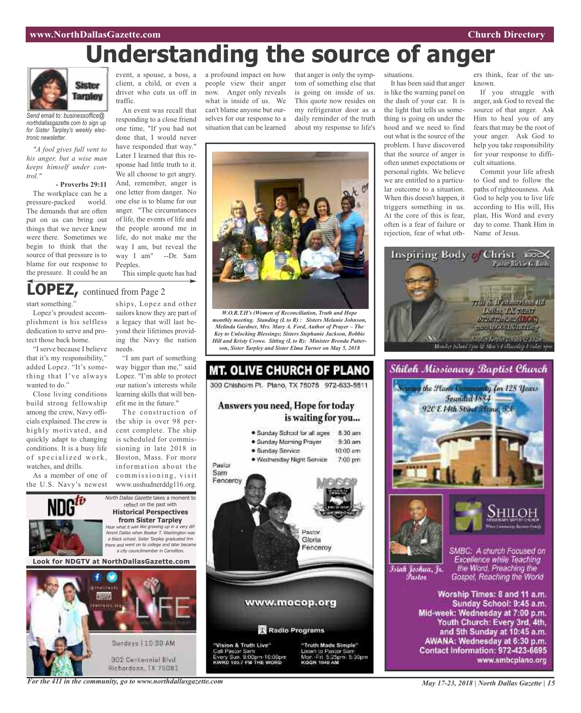## **www.NorthDallasGazette.com Church Directory**

# **Understanding the source of anger**



*Send email to: businessoffice@ northdallasgazette.com to sign up for Sister Tarpley's weekly electronic newsletter.*

*"A fool gives full vent to his anger, but a wise man keeps himself under control."*

## **- Proverbs 29:11**

The workplace can be a pressure-packed world. The demands that are often put on us can bring out things that we never knew were there. Sometimes we begin to think that the source of that pressure is to blame for our response to the pressure. It could be an

event, a spouse, a boss, a a profound impact on how client, a child, or even a driver who cuts us off in traffic.

An event was recall that responding to a close friend one time, "If you had not done that, I would never have responded that way." Later I learned that this response had little truth to it. We all choose to get angry. And, remember, anger is one letter from danger. No one else is to blame for our anger. "The circumstances of life, the events of life and the people around me in life, do not make me the way I am, but reveal the way I am" --Dr. Sam Peeples.

This simple quote has had

# **LOPEZ,** continued from Page <sup>2</sup>

start something."

Lopez's proudest accomplishment is his selfless dedication to serve and protect those back home.

"I serve because I believe that it's my responsibility," added Lopez. "It's something that I've always wanted to do."

Close living conditions build strong fellowship among the crew, Navy officials explained. The crew is highly motivated, and quickly adapt to changing conditions. It is a busy life of specialized work, watches, and drills.

As a member of one of the U.S. Navy's newest

ships, Lopez and other sailors know they are part of a legacy that will last beyond their lifetimes providing the Navy the nation needs.

"I am part of something way bigger than me," said Lopez. "I'm able to protect our nation's interests while learning skills that will benefit me in the future."

The construction of www.usshudnerddg116.org.

North Dallas Gazette takes a moment to reflect on the past with **Historical Perspectives from Sister Tarpley** Hear what it was like growing up in <sup>a</sup> very different Dallas when Booker T. Washington was <sup>a</sup> black school. Sister Tarpley graduated frm there and went on to college and later became <sup>a</sup> city councilmember in Carrollton.

**Look for NDGTV at NorthDallasGazette.com**



people view their anger

now. Anger only reveals what is inside of us. We can't blame anyone but ourselves for our response to a situation that can be learned

that anger is only the symptom of something else that is going on inside of us. This quote now resides on my refrigerator door as a daily reminder of the truth about my response to life's



It has been said that anger is like the warning panel on the dash of your car. It is the light that tells us something is going on under the hood and we need to find out what is the source of the problem. I have discovered that the source of anger is often unmet expectations or personal rights. We believe we are entitled to a particular outcome to a situation. When this doesn't happen, it triggers something in us. At the core of this is fear, often is a fear of failure or rejection, fear of what oth-

ers think, fear of the unknown.

If you struggle with anger, ask God to reveal the source of that anger. Ask Him to heal you of any fears that may be the root of your anger. Ask God to help you take responsibility for your response to difficult situations.

Commit your life afresh to God and to follow the paths of righteousness. Ask God to help you to live life according to His will, His plan, His Word and every day to come. Thank Him in Name of Jesus.





and 5th Sunday at 10:45 a.m. AWANA: Wednesday at 6:30 p.m. Contact Information: 972-423-6695 www.smbcplano.org

*W.O.R.T.H's (Women of Reconciliation, Truth and Hope monthly meeting. Standing (L to R) : Sisters Melanie Johnson, Melinda Gardner, Mrs. Mary A. Ford, Author of Prayer – The Key to Unlocking Blessings; Sisters Stephanie Jackson, Bobbie Hill and Kristy Crowe. Sitting (L to R): Minister Brenda Patterson, Sister Tarpley and Sister Elma Turner on May 5, 2018*

the ship is over 98 percent complete. The ship is scheduled for commissioning in late 2018 in Boston, Mass. For more information about the commissioning, visit



MT. OLIVE CHURCH OF PLANO 300 Chishoim Pl. Plano, TX 75075 972-633-5511

Answers you need, Hope for today

*For the 411 in the community, go to www.northdallasgazette.com*